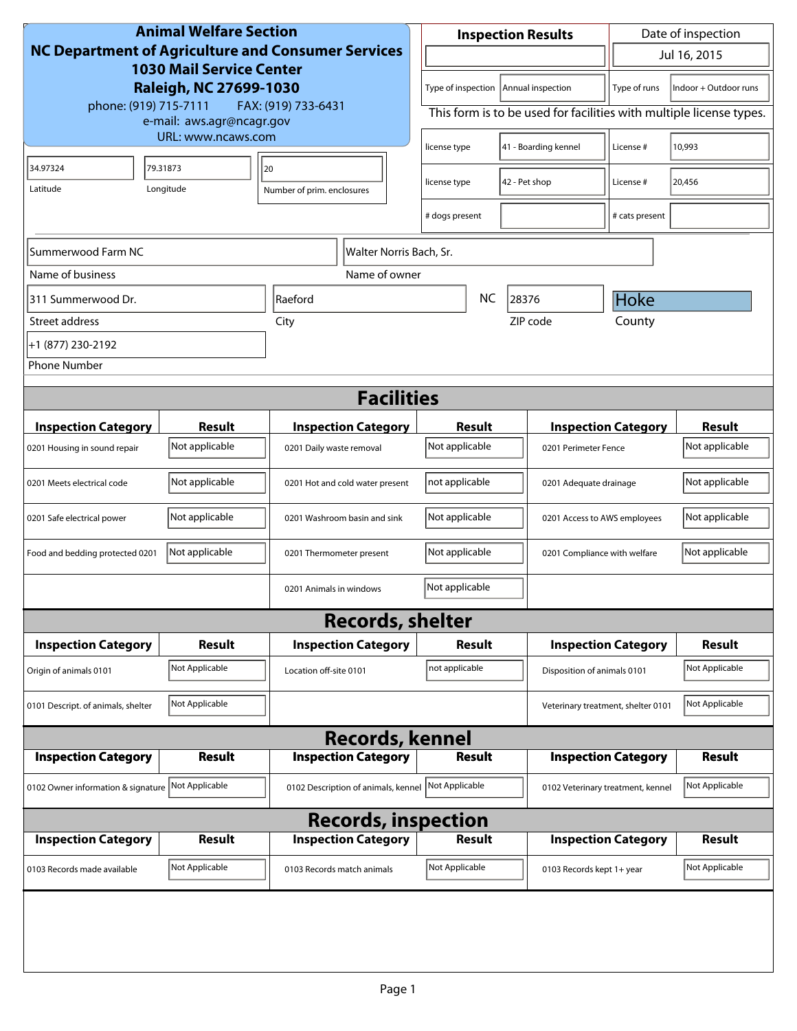| <b>Animal Welfare Section</b><br><b>NC Department of Agriculture and Consumer Services</b><br><b>1030 Mail Service Center</b><br>Raleigh, NC 27699-1030 |                    |                                     | <b>Inspection Results</b>                                           |                                      |                                    | Date of inspection                    |                |
|---------------------------------------------------------------------------------------------------------------------------------------------------------|--------------------|-------------------------------------|---------------------------------------------------------------------|--------------------------------------|------------------------------------|---------------------------------------|----------------|
|                                                                                                                                                         |                    |                                     | $\mathbf{r}$                                                        |                                      |                                    | Jul 16, 2015                          |                |
|                                                                                                                                                         |                    |                                     | Type of inspection<br>Annual inspection                             |                                      |                                    | Indoor + Outdoor runs<br>Type of runs |                |
| phone: (919) 715-7111<br>FAX: (919) 733-6431<br>e-mail: aws.agr@ncagr.gov                                                                               |                    |                                     | This form is to be used for facilities with multiple license types. |                                      |                                    |                                       |                |
|                                                                                                                                                         | URL: www.ncaws.com |                                     |                                                                     | 41 - Boarding kennel<br>license type |                                    | License #                             | 10,993         |
| 34.97324                                                                                                                                                | 79.31873           | 20                                  |                                                                     |                                      |                                    | License #                             | 20,456         |
| Latitude                                                                                                                                                | Longitude          | Number of prim. enclosures          |                                                                     | 42 - Pet shop<br>license type        |                                    |                                       |                |
|                                                                                                                                                         |                    |                                     | # dogs present                                                      |                                      |                                    | # cats present                        |                |
| Summerwood Farm NC<br>Walter Norris Bach, Sr.                                                                                                           |                    |                                     |                                                                     |                                      |                                    |                                       |                |
| Name of business                                                                                                                                        |                    | Name of owner                       |                                                                     |                                      |                                    |                                       |                |
| 311 Summerwood Dr.                                                                                                                                      |                    | Raeford                             |                                                                     | <b>NC</b><br>28376                   |                                    | Hoke                                  |                |
| Street address                                                                                                                                          |                    | City                                | ZIP code                                                            |                                      | County                             |                                       |                |
| +1 (877) 230-2192                                                                                                                                       |                    |                                     |                                                                     |                                      |                                    |                                       |                |
| <b>Phone Number</b>                                                                                                                                     |                    |                                     |                                                                     |                                      |                                    |                                       |                |
| <b>Facilities</b>                                                                                                                                       |                    |                                     |                                                                     |                                      |                                    |                                       |                |
| <b>Inspection Category</b>                                                                                                                              | Result             | <b>Inspection Category</b>          | Result                                                              |                                      |                                    | <b>Inspection Category</b>            | <b>Result</b>  |
| 0201 Housing in sound repair                                                                                                                            | Not applicable     | 0201 Daily waste removal            | Not applicable                                                      |                                      | 0201 Perimeter Fence               |                                       | Not applicable |
| 0201 Meets electrical code                                                                                                                              | Not applicable     | 0201 Hot and cold water present     | not applicable                                                      |                                      | 0201 Adequate drainage             |                                       | Not applicable |
| 0201 Safe electrical power                                                                                                                              | Not applicable     | 0201 Washroom basin and sink        | Not applicable                                                      |                                      | 0201 Access to AWS employees       |                                       | Not applicable |
| Food and bedding protected 0201                                                                                                                         | Not applicable     | 0201 Thermometer present            | Not applicable                                                      |                                      | 0201 Compliance with welfare       |                                       | Not applicable |
|                                                                                                                                                         |                    | 0201 Animals in windows             | Not applicable                                                      |                                      |                                    |                                       |                |
| <b>Records, shelter</b>                                                                                                                                 |                    |                                     |                                                                     |                                      |                                    |                                       |                |
| <b>Inspection Category</b>                                                                                                                              | Result             | <b>Inspection Category</b>          | Result                                                              |                                      |                                    | <b>Inspection Category</b>            | <b>Result</b>  |
| Origin of animals 0101                                                                                                                                  | Not Applicable     | Location off-site 0101              | not applicable                                                      |                                      | Disposition of animals 0101        |                                       | Not Applicable |
| 0101 Descript. of animals, shelter                                                                                                                      | Not Applicable     |                                     |                                                                     |                                      | Veterinary treatment, shelter 0101 |                                       | Not Applicable |
| <b>Records, kennel</b>                                                                                                                                  |                    |                                     |                                                                     |                                      |                                    |                                       |                |
| <b>Inspection Category</b>                                                                                                                              | <b>Result</b>      | <b>Inspection Category</b>          | <b>Result</b>                                                       |                                      |                                    | <b>Inspection Category</b>            | <b>Result</b>  |
| 0102 Owner information & signature                                                                                                                      | Not Applicable     | 0102 Description of animals, kennel | Not Applicable                                                      |                                      | 0102 Veterinary treatment, kennel  |                                       | Not Applicable |
| <b>Records, inspection</b>                                                                                                                              |                    |                                     |                                                                     |                                      |                                    |                                       |                |
| <b>Inspection Category</b>                                                                                                                              | Result             | <b>Inspection Category</b>          | <b>Result</b>                                                       |                                      |                                    | <b>Inspection Category</b>            | <b>Result</b>  |
| 0103 Records made available                                                                                                                             | Not Applicable     | 0103 Records match animals          | Not Applicable                                                      |                                      | 0103 Records kept 1+ year          |                                       | Not Applicable |
|                                                                                                                                                         |                    |                                     |                                                                     |                                      |                                    |                                       |                |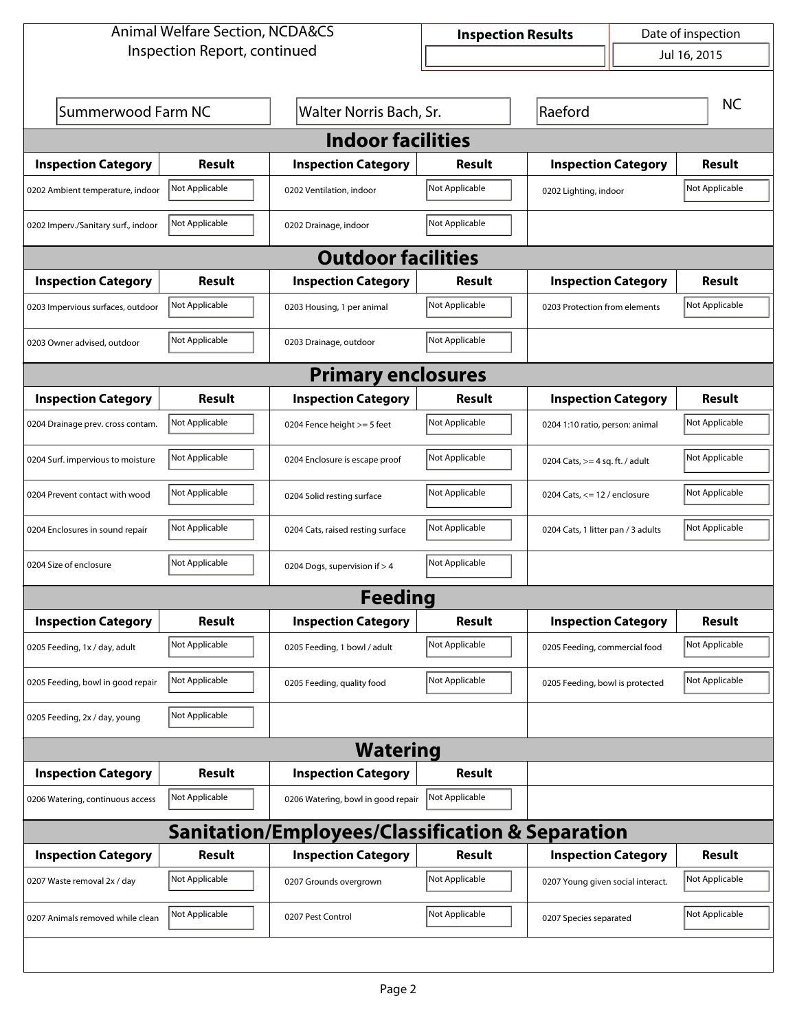| <b>Animal Welfare Section, NCDA&amp;CS</b>                  |                |                                    | Date of inspection<br><b>Inspection Results</b> |                                    |                |  |  |  |
|-------------------------------------------------------------|----------------|------------------------------------|-------------------------------------------------|------------------------------------|----------------|--|--|--|
| Inspection Report, continued                                |                |                                    |                                                 | $\overline{\phantom{0}}$           | Jul 16, 2015   |  |  |  |
|                                                             |                |                                    |                                                 |                                    |                |  |  |  |
| Summerwood Farm NC                                          |                | Walter Norris Bach, Sr.            |                                                 | Raeford                            | <b>NC</b>      |  |  |  |
|                                                             |                | <b>Indoor facilities</b>           |                                                 |                                    |                |  |  |  |
| <b>Inspection Category</b>                                  | <b>Result</b>  | <b>Inspection Category</b>         | Result                                          | <b>Inspection Category</b>         | <b>Result</b>  |  |  |  |
| 0202 Ambient temperature, indoor                            | Not Applicable | 0202 Ventilation, indoor           | Not Applicable                                  | 0202 Lighting, indoor              | Not Applicable |  |  |  |
| 0202 Imperv./Sanitary surf., indoor                         | Not Applicable | 0202 Drainage, indoor              | Not Applicable                                  |                                    |                |  |  |  |
| <b>Outdoor facilities</b>                                   |                |                                    |                                                 |                                    |                |  |  |  |
| <b>Inspection Category</b>                                  | <b>Result</b>  | <b>Inspection Category</b>         | Result                                          | <b>Inspection Category</b>         | <b>Result</b>  |  |  |  |
| 0203 Impervious surfaces, outdoor                           | Not Applicable | 0203 Housing, 1 per animal         | Not Applicable                                  | 0203 Protection from elements      | Not Applicable |  |  |  |
| 0203 Owner advised, outdoor                                 | Not Applicable | 0203 Drainage, outdoor             | Not Applicable                                  |                                    |                |  |  |  |
| <b>Primary enclosures</b>                                   |                |                                    |                                                 |                                    |                |  |  |  |
| <b>Inspection Category</b>                                  | <b>Result</b>  | <b>Inspection Category</b>         | Result                                          | <b>Inspection Category</b>         | <b>Result</b>  |  |  |  |
| 0204 Drainage prev. cross contam.                           | Not Applicable | 0204 Fence height >= 5 feet        | Not Applicable                                  | 0204 1:10 ratio, person: animal    | Not Applicable |  |  |  |
| 0204 Surf. impervious to moisture                           | Not Applicable | 0204 Enclosure is escape proof     | Not Applicable                                  | 0204 Cats, $>=$ 4 sq. ft. / adult  | Not Applicable |  |  |  |
| 0204 Prevent contact with wood                              | Not Applicable | 0204 Solid resting surface         | Not Applicable                                  | 0204 Cats, $<= 12$ / enclosure     | Not Applicable |  |  |  |
| 0204 Enclosures in sound repair                             | Not Applicable | 0204 Cats, raised resting surface  | Not Applicable                                  | 0204 Cats, 1 litter pan / 3 adults | Not Applicable |  |  |  |
| 0204 Size of enclosure                                      | Not Applicable | 0204 Dogs, supervision if > 4      | Not Applicable                                  |                                    |                |  |  |  |
| <b>Feeding</b>                                              |                |                                    |                                                 |                                    |                |  |  |  |
| <b>Inspection Category</b>                                  | <b>Result</b>  | <b>Inspection Category</b>         | <b>Result</b>                                   | <b>Inspection Category</b>         | <b>Result</b>  |  |  |  |
| 0205 Feeding, 1x / day, adult                               | Not Applicable | 0205 Feeding, 1 bowl / adult       | Not Applicable                                  | 0205 Feeding, commercial food      | Not Applicable |  |  |  |
| 0205 Feeding, bowl in good repair                           | Not Applicable | 0205 Feeding, quality food         | Not Applicable                                  | 0205 Feeding, bowl is protected    | Not Applicable |  |  |  |
| 0205 Feeding, 2x / day, young                               | Not Applicable |                                    |                                                 |                                    |                |  |  |  |
| <b>Watering</b>                                             |                |                                    |                                                 |                                    |                |  |  |  |
| <b>Inspection Category</b>                                  | Result         | <b>Inspection Category</b>         | Result                                          |                                    |                |  |  |  |
| 0206 Watering, continuous access                            | Not Applicable | 0206 Watering, bowl in good repair | Not Applicable                                  |                                    |                |  |  |  |
| <b>Sanitation/Employees/Classification &amp; Separation</b> |                |                                    |                                                 |                                    |                |  |  |  |
| <b>Inspection Category</b>                                  | <b>Result</b>  | <b>Inspection Category</b>         | <b>Result</b>                                   | <b>Inspection Category</b>         | <b>Result</b>  |  |  |  |
| 0207 Waste removal 2x / day                                 | Not Applicable | 0207 Grounds overgrown             | Not Applicable                                  | 0207 Young given social interact.  | Not Applicable |  |  |  |
| 0207 Animals removed while clean                            | Not Applicable | 0207 Pest Control                  | Not Applicable                                  | 0207 Species separated             | Not Applicable |  |  |  |
|                                                             |                |                                    |                                                 |                                    |                |  |  |  |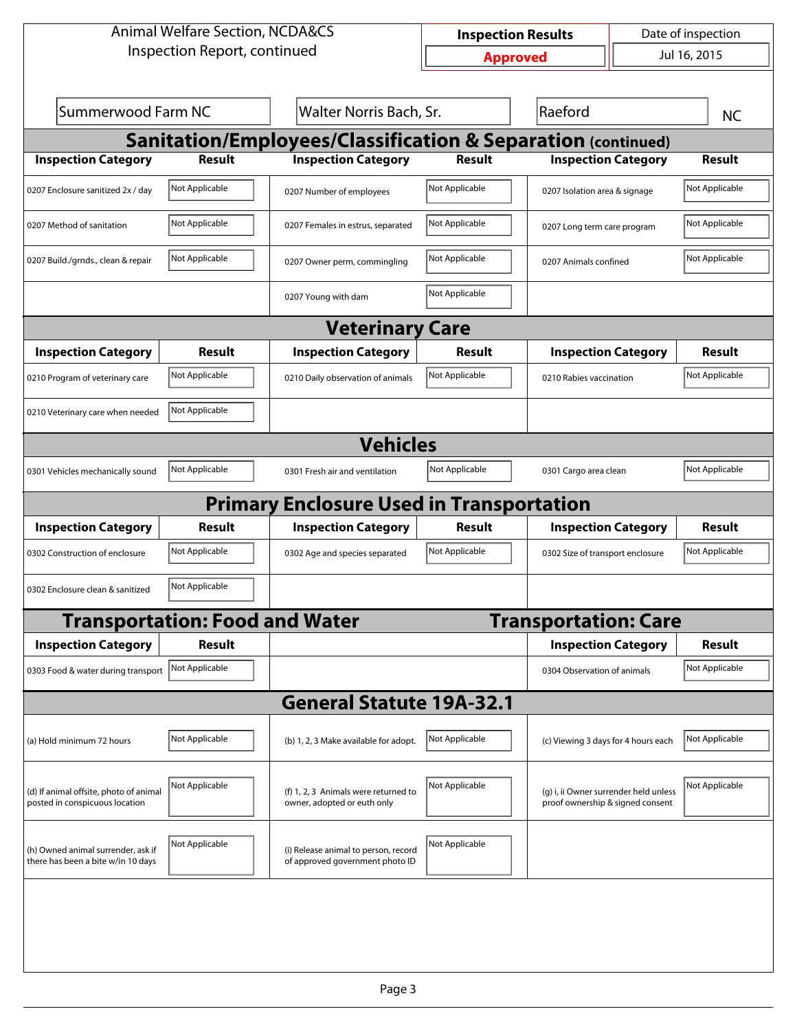| Inspection Report, continued<br>Summerwood Farm NC<br><b>Result</b><br>Not Applicable<br>Not Applicable<br>Not Applicable<br>Result<br>Not Applicable | Walter Norris Bach, Sr.<br><b>Sanitation/Employees/Classification &amp; Separation (continued)</b><br><b>Inspection Category</b><br>0207 Number of employees<br>0207 Females in estrus, separated<br>0207 Owner perm, commingling<br>0207 Young with dam<br><b>Veterinary Care</b><br><b>Inspection Category</b> | <b>Approved</b><br><b>Result</b><br>Not Applicable<br>Not Applicable<br>Not Applicable<br>Not Applicable<br>Result | Raeford<br><b>Inspection Category</b><br>0207 Isolation area & signage<br>0207 Long term care program<br>0207 Animals confined |                            | Jul 16, 2015<br><b>NC</b><br><b>Result</b><br>Not Applicable<br>Not Applicable<br>Not Applicable                                                                                                                                                                         |  |  |  |
|-------------------------------------------------------------------------------------------------------------------------------------------------------|------------------------------------------------------------------------------------------------------------------------------------------------------------------------------------------------------------------------------------------------------------------------------------------------------------------|--------------------------------------------------------------------------------------------------------------------|--------------------------------------------------------------------------------------------------------------------------------|----------------------------|--------------------------------------------------------------------------------------------------------------------------------------------------------------------------------------------------------------------------------------------------------------------------|--|--|--|
|                                                                                                                                                       |                                                                                                                                                                                                                                                                                                                  |                                                                                                                    |                                                                                                                                |                            |                                                                                                                                                                                                                                                                          |  |  |  |
|                                                                                                                                                       |                                                                                                                                                                                                                                                                                                                  |                                                                                                                    |                                                                                                                                |                            |                                                                                                                                                                                                                                                                          |  |  |  |
|                                                                                                                                                       |                                                                                                                                                                                                                                                                                                                  |                                                                                                                    |                                                                                                                                |                            |                                                                                                                                                                                                                                                                          |  |  |  |
|                                                                                                                                                       |                                                                                                                                                                                                                                                                                                                  |                                                                                                                    |                                                                                                                                |                            |                                                                                                                                                                                                                                                                          |  |  |  |
|                                                                                                                                                       |                                                                                                                                                                                                                                                                                                                  |                                                                                                                    |                                                                                                                                |                            |                                                                                                                                                                                                                                                                          |  |  |  |
|                                                                                                                                                       |                                                                                                                                                                                                                                                                                                                  |                                                                                                                    |                                                                                                                                |                            |                                                                                                                                                                                                                                                                          |  |  |  |
|                                                                                                                                                       |                                                                                                                                                                                                                                                                                                                  |                                                                                                                    |                                                                                                                                |                            |                                                                                                                                                                                                                                                                          |  |  |  |
|                                                                                                                                                       |                                                                                                                                                                                                                                                                                                                  |                                                                                                                    |                                                                                                                                |                            |                                                                                                                                                                                                                                                                          |  |  |  |
|                                                                                                                                                       |                                                                                                                                                                                                                                                                                                                  |                                                                                                                    |                                                                                                                                |                            |                                                                                                                                                                                                                                                                          |  |  |  |
|                                                                                                                                                       |                                                                                                                                                                                                                                                                                                                  |                                                                                                                    |                                                                                                                                |                            |                                                                                                                                                                                                                                                                          |  |  |  |
|                                                                                                                                                       |                                                                                                                                                                                                                                                                                                                  |                                                                                                                    |                                                                                                                                | <b>Inspection Category</b> | Result                                                                                                                                                                                                                                                                   |  |  |  |
|                                                                                                                                                       | 0210 Daily observation of animals                                                                                                                                                                                                                                                                                | Not Applicable                                                                                                     |                                                                                                                                | 0210 Rabies vaccination    |                                                                                                                                                                                                                                                                          |  |  |  |
| Not Applicable<br>0210 Veterinary care when needed                                                                                                    |                                                                                                                                                                                                                                                                                                                  |                                                                                                                    |                                                                                                                                |                            |                                                                                                                                                                                                                                                                          |  |  |  |
| <b>Vehicles</b>                                                                                                                                       |                                                                                                                                                                                                                                                                                                                  |                                                                                                                    |                                                                                                                                |                            |                                                                                                                                                                                                                                                                          |  |  |  |
|                                                                                                                                                       | 0301 Fresh air and ventilation                                                                                                                                                                                                                                                                                   | Not Applicable                                                                                                     |                                                                                                                                |                            | Not Applicable                                                                                                                                                                                                                                                           |  |  |  |
| <b>Primary Enclosure Used in Transportation</b>                                                                                                       |                                                                                                                                                                                                                                                                                                                  |                                                                                                                    |                                                                                                                                |                            |                                                                                                                                                                                                                                                                          |  |  |  |
|                                                                                                                                                       | <b>Inspection Category</b>                                                                                                                                                                                                                                                                                       | <b>Result</b>                                                                                                      |                                                                                                                                |                            | <b>Result</b>                                                                                                                                                                                                                                                            |  |  |  |
|                                                                                                                                                       | 0302 Age and species separated                                                                                                                                                                                                                                                                                   | Not Applicable                                                                                                     |                                                                                                                                |                            | Not Applicable                                                                                                                                                                                                                                                           |  |  |  |
|                                                                                                                                                       |                                                                                                                                                                                                                                                                                                                  |                                                                                                                    |                                                                                                                                |                            |                                                                                                                                                                                                                                                                          |  |  |  |
| <b>Transportation: Food and Water</b><br><b>Transportation: Care</b>                                                                                  |                                                                                                                                                                                                                                                                                                                  |                                                                                                                    |                                                                                                                                |                            |                                                                                                                                                                                                                                                                          |  |  |  |
|                                                                                                                                                       |                                                                                                                                                                                                                                                                                                                  |                                                                                                                    |                                                                                                                                |                            | <b>Result</b>                                                                                                                                                                                                                                                            |  |  |  |
|                                                                                                                                                       |                                                                                                                                                                                                                                                                                                                  |                                                                                                                    |                                                                                                                                |                            | Not Applicable                                                                                                                                                                                                                                                           |  |  |  |
|                                                                                                                                                       |                                                                                                                                                                                                                                                                                                                  |                                                                                                                    |                                                                                                                                |                            |                                                                                                                                                                                                                                                                          |  |  |  |
|                                                                                                                                                       | (b) 1, 2, 3 Make available for adopt.                                                                                                                                                                                                                                                                            | Not Applicable                                                                                                     |                                                                                                                                |                            | Not Applicable                                                                                                                                                                                                                                                           |  |  |  |
|                                                                                                                                                       | (f) 1, 2, 3 Animals were returned to<br>owner, adopted or euth only                                                                                                                                                                                                                                              | Not Applicable                                                                                                     |                                                                                                                                |                            | Not Applicable                                                                                                                                                                                                                                                           |  |  |  |
|                                                                                                                                                       | (i) Release animal to person, record<br>of approved government photo ID                                                                                                                                                                                                                                          | Not Applicable                                                                                                     |                                                                                                                                |                            |                                                                                                                                                                                                                                                                          |  |  |  |
|                                                                                                                                                       | Not Applicable<br><b>Result</b><br>Not Applicable<br>Not Applicable<br><b>Result</b><br>Not Applicable<br>Not Applicable<br>Not Applicable<br>Not Applicable                                                                                                                                                     |                                                                                                                    | <b>General Statute 19A-32.1</b>                                                                                                |                            | 0301 Cargo area clean<br><b>Inspection Category</b><br>0302 Size of transport enclosure<br><b>Inspection Category</b><br>0304 Observation of animals<br>(c) Viewing 3 days for 4 hours each<br>(g) i, ii Owner surrender held unless<br>proof ownership & signed consent |  |  |  |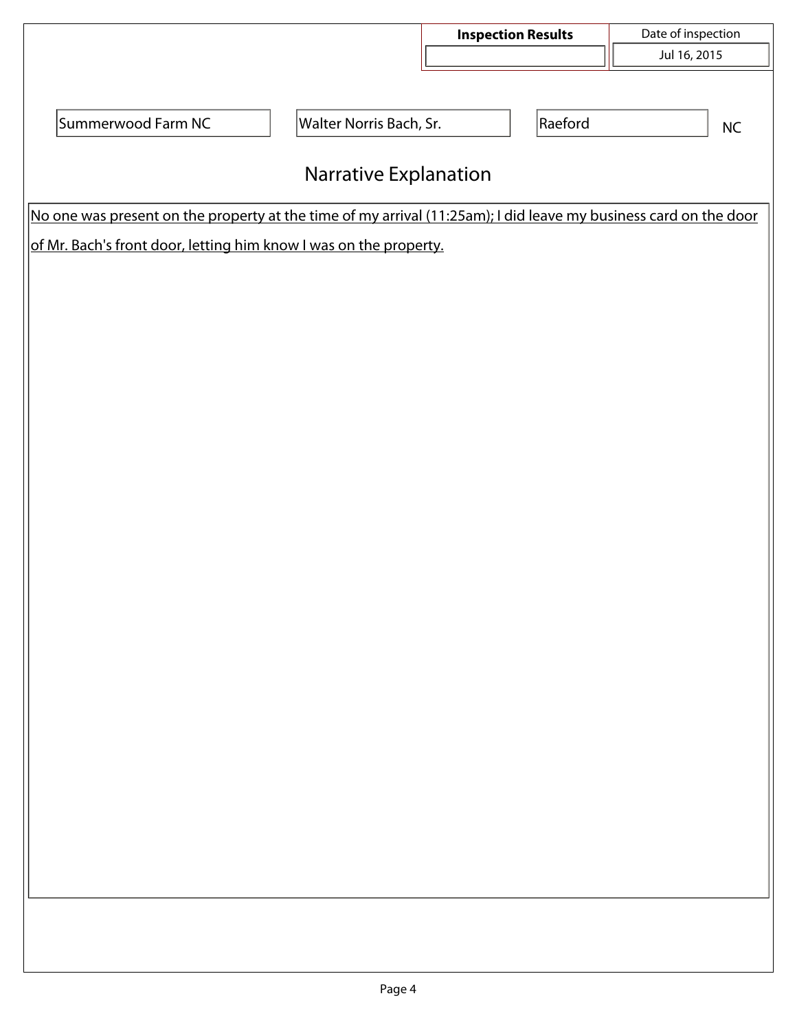|                                                                                                                  |                         | <b>Inspection Results</b> | Date of inspection |  |  |  |  |  |
|------------------------------------------------------------------------------------------------------------------|-------------------------|---------------------------|--------------------|--|--|--|--|--|
|                                                                                                                  |                         | $\boxed{\blacksquare}$    | Jul 16, 2015       |  |  |  |  |  |
|                                                                                                                  |                         |                           |                    |  |  |  |  |  |
| Summerwood Farm NC                                                                                               | Walter Norris Bach, Sr. | Raeford                   |                    |  |  |  |  |  |
|                                                                                                                  |                         |                           | $\sf NC$           |  |  |  |  |  |
| Narrative Explanation                                                                                            |                         |                           |                    |  |  |  |  |  |
| No one was present on the property at the time of my arrival (11:25am); I did leave my business card on the door |                         |                           |                    |  |  |  |  |  |
| of Mr. Bach's front door, letting him know I was on the property.                                                |                         |                           |                    |  |  |  |  |  |
|                                                                                                                  |                         |                           |                    |  |  |  |  |  |
|                                                                                                                  |                         |                           |                    |  |  |  |  |  |
|                                                                                                                  |                         |                           |                    |  |  |  |  |  |
|                                                                                                                  |                         |                           |                    |  |  |  |  |  |
|                                                                                                                  |                         |                           |                    |  |  |  |  |  |
|                                                                                                                  |                         |                           |                    |  |  |  |  |  |
|                                                                                                                  |                         |                           |                    |  |  |  |  |  |
|                                                                                                                  |                         |                           |                    |  |  |  |  |  |
|                                                                                                                  |                         |                           |                    |  |  |  |  |  |
|                                                                                                                  |                         |                           |                    |  |  |  |  |  |
|                                                                                                                  |                         |                           |                    |  |  |  |  |  |
|                                                                                                                  |                         |                           |                    |  |  |  |  |  |
|                                                                                                                  |                         |                           |                    |  |  |  |  |  |
|                                                                                                                  |                         |                           |                    |  |  |  |  |  |
|                                                                                                                  |                         |                           |                    |  |  |  |  |  |
|                                                                                                                  |                         |                           |                    |  |  |  |  |  |
|                                                                                                                  |                         |                           |                    |  |  |  |  |  |
|                                                                                                                  |                         |                           |                    |  |  |  |  |  |
|                                                                                                                  |                         |                           |                    |  |  |  |  |  |
|                                                                                                                  |                         |                           |                    |  |  |  |  |  |
|                                                                                                                  |                         |                           |                    |  |  |  |  |  |
|                                                                                                                  |                         |                           |                    |  |  |  |  |  |
|                                                                                                                  |                         |                           |                    |  |  |  |  |  |
|                                                                                                                  |                         |                           |                    |  |  |  |  |  |
|                                                                                                                  |                         |                           |                    |  |  |  |  |  |
|                                                                                                                  |                         |                           |                    |  |  |  |  |  |